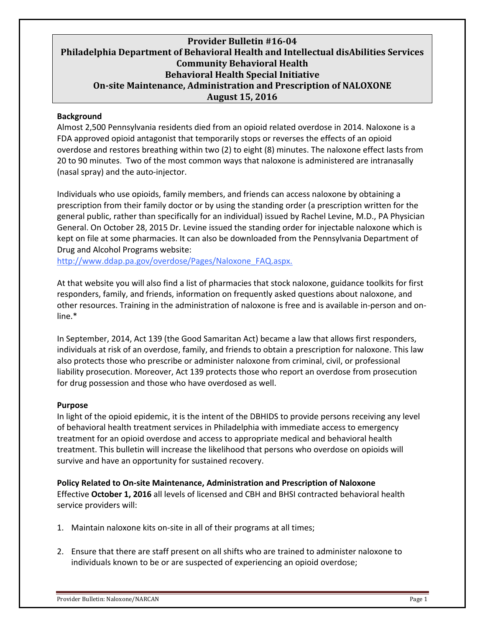## **Provider Bulletin #16‐04 Philadelphia Department of Behavioral Health and Intellectual disAbilities Services Community Behavioral Health Behavioral Health Special Initiative On‐site Maintenance, Administration and Prescription of NALOXONE** **August 15, 2016**

### **Background**

Almost 2,500 Pennsylvania residents died from an opioid related overdose in 2014. Naloxone is a FDA approved opioid antagonist that temporarily stops or reverses the effects of an opioid overdose and restores breathing within two (2) to eight (8) minutes. The naloxone effect lasts from 20 to 90 minutes. Two of the most common ways that naloxone is administered are intranasally (nasal spray) and the auto‐injector.

Individuals who use opioids, family members, and friends can access naloxone by obtaining a prescription from their family doctor or by using the standing order (a prescription written for the general public, rather than specifically for an individual) issued by Rachel Levine, M.D., PA Physician General. On October 28, 2015 Dr. Levine issued the standing order for injectable naloxone which is kept on file at some pharmacies. It can also be downloaded from the Pennsylvania Department of Drug and Alcohol Programs website:

http://www.ddap.pa.gov/overdose/Pages/Naloxone\_FAQ.aspx.

At that website you will also find a list of pharmacies that stock naloxone, guidance toolkits for first responders, family, and friends, information on frequently asked questions about naloxone, and other resources. Training in the administration of naloxone is free and is available in‐person and on‐ line.\*

In September, 2014, Act 139 (the Good Samaritan Act) became a law that allows first responders, individuals at risk of an overdose, family, and friends to obtain a prescription for naloxone. This law also protects those who prescribe or administer naloxone from criminal, civil, or professional liability prosecution. Moreover, Act 139 protects those who report an overdose from prosecution for drug possession and those who have overdosed as well.

#### **Purpose**

In light of the opioid epidemic, it is the intent of the DBHIDS to provide persons receiving any level of behavioral health treatment services in Philadelphia with immediate access to emergency treatment for an opioid overdose and access to appropriate medical and behavioral health treatment. This bulletin will increase the likelihood that persons who overdose on opioids will survive and have an opportunity for sustained recovery.

**Policy Related to On‐site Maintenance, Administration and Prescription of Naloxone** Effective **October 1, 2016** all levels of licensed and CBH and BHSI contracted behavioral health service providers will:

- 1. Maintain naloxone kits on‐site in all of their programs at all times;
- 2. Ensure that there are staff present on all shifts who are trained to administer naloxone to individuals known to be or are suspected of experiencing an opioid overdose;